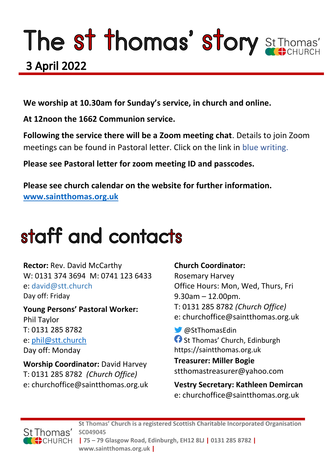# The st thomas' story St Thomas'

# **3 April 2022**

**We worship at 10.30am for Sunday's service, in church and online.** 

**At 12noon the 1662 Communion service.** 

**Following the service there will be a Zoom meeting chat**. Details to join Zoom meetings can be found in Pastoral letter. Click on the link in blue writing.

**Please see Pastoral letter for zoom meeting ID and passcodes.**

**Please see church calendar on the website for further information. [www.saintthomas.org.uk](http://www.saintthomas.org.uk/)**

# staff and contacts

**Rector:** Rev. David McCarthy W: 0131 374 3694 M: 0741 123 6433 e: david@stt.church Day off: Friday

**Young Persons' Pastoral Worker:** Phil Taylor T: 0131 285 8782 e: [phil@stt.church](mailto:phil@stt.church) Day off: Monday

**Worship Coordinator:** David Harvey T: 0131 285 8782 *(Church Office)* e: churchoffice@saintthomas.org.uk

# **Church Coordinator:**

Rosemary Harvey Office Hours: Mon, Wed, Thurs, Fri 9.30am – 12.00pm. T: 0131 285 8782 *(Church Office)* e: churchoffice@saintthomas.org.uk

@StThomasEdin **St Thomas' Church, Edinburgh** https://saintthomas.org.uk

**Treasurer: Miller Bogie** stthomastreasurer@yahoo.com

**Vestry Secretary: Kathleen Demircan**  e: churchoffice@saintthomas.org.uk



**St Thomas' Church is a registered Scottish Charitable Incorporated Organisation SC049045 | 75 – 79 Glasgow Road, Edinburgh, EH12 8LJ | 0131 285 8782 |** 

**www.saintthomas.org.uk |**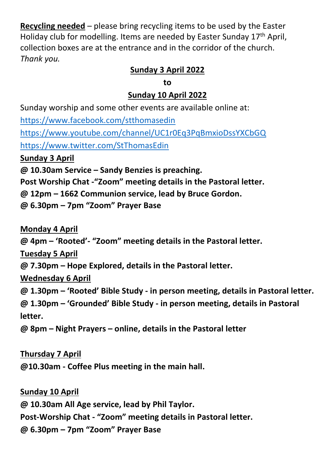**Recycling needed** – please bring recycling items to be used by the Easter Holiday club for modelling. Items are needed by Easter Sunday 17th April, collection boxes are at the entrance and in the corridor of the church. *Thank you.*

# **Sunday 3 April 2022**

**to**

### **Sunday 10 April 2022**

Sunday worship and some other events are available online at: <https://www.facebook.com/stthomasedin> <https://www.youtube.com/channel/UC1r0Eq3PqBmxioDssYXCbGQ> <https://www.twitter.com/StThomasEdin> **Sunday 3 April @ 10.30am Service – Sandy Benzies is preaching. Post Worship Chat -"Zoom" meeting details in the Pastoral letter. @ 12pm – 1662 Communion service, lead by Bruce Gordon.**

**@ 6.30pm – 7pm "Zoom" Prayer Base**

**Monday 4 April**

**@ 4pm – 'Rooted'- "Zoom" meeting details in the Pastoral letter.**

**Tuesday 5 April**

**@ 7.30pm – Hope Explored, details in the Pastoral letter.**

**Wednesday 6 April**

**@ 1.30pm – 'Rooted' Bible Study - in person meeting, details in Pastoral letter.**

**@ 1.30pm – 'Grounded' Bible Study - in person meeting, details in Pastoral letter.**

**@ 8pm – Night Prayers – online, details in the Pastoral letter**

**Thursday 7 April**

**@10.30am - Coffee Plus meeting in the main hall.**

**Sunday 10 April @ 10.30am All Age service, lead by Phil Taylor. Post-Worship Chat - "Zoom" meeting details in Pastoral letter. @ 6.30pm – 7pm "Zoom" Prayer Base**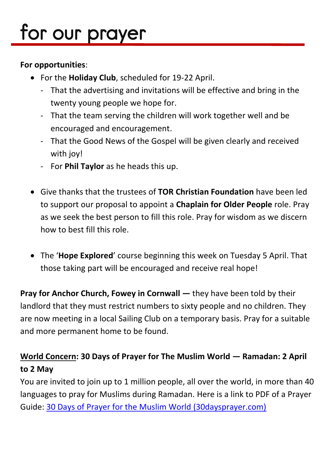# for our prayer

#### **For opportunities**:

- For the **Holiday Club**, scheduled for 19-22 April.
	- That the advertising and invitations will be effective and bring in the twenty young people we hope for.
	- That the team serving the children will work together well and be encouraged and encouragement.
	- That the Good News of the Gospel will be given clearly and received with joy!
	- For **Phil Taylor** as he heads this up.
- Give thanks that the trustees of **TOR Christian Foundation** have been led to support our proposal to appoint a **Chaplain for Older People** role. Pray as we seek the best person to fill this role. Pray for wisdom as we discern how to best fill this role.
- The '**Hope Explored**' course beginning this week on Tuesday 5 April. That those taking part will be encouraged and receive real hope!

**Pray for Anchor Church, Fowey in Cornwall — they have been told by their** landlord that they must restrict numbers to sixty people and no children. They are now meeting in a local Sailing Club on a temporary basis. Pray for a suitable and more permanent home to be found.

# **World Concern: 30 Days of Prayer for The Muslim World — Ramadan: 2 April to 2 May**

You are invited to join up to 1 million people, all over the world, in more than 40 languages to pray for Muslims during Ramadan. Here is a link to PDF of a Prayer Guide: [30 Days of Prayer for the Muslim World \(30daysprayer.com\)](https://www.30daysprayer.com/)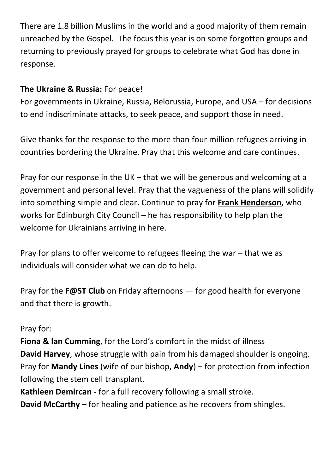There are 1.8 billion Muslims in the world and a good majority of them remain unreached by the Gospel. The focus this year is on some forgotten groups and returning to previously prayed for groups to celebrate what God has done in response.

# **The Ukraine & Russia:** For peace!

For governments in Ukraine, Russia, Belorussia, Europe, and USA – for decisions to end indiscriminate attacks, to seek peace, and support those in need.

Give thanks for the response to the more than four million refugees arriving in countries bordering the Ukraine. Pray that this welcome and care continues.

Pray for our response in the UK – that we will be generous and welcoming at a government and personal level. Pray that the vagueness of the plans will solidify into something simple and clear. Continue to pray for **Frank Henderson**, who works for Edinburgh City Council – he has responsibility to help plan the welcome for Ukrainians arriving in here.

Pray for plans to offer welcome to refugees fleeing the war – that we as individuals will consider what we can do to help.

Pray for the **F@ST Club** on Friday afternoons — for good health for everyone and that there is growth.

#### Pray for:

**Fiona & Ian Cumming**, for the Lord's comfort in the midst of illness **David Harvey**, whose struggle with pain from his damaged shoulder is ongoing. Pray for **Mandy Lines** (wife of our bishop, **Andy**) – for protection from infection following the stem cell transplant.

**Kathleen Demircan -** for a full recovery following a small stroke. **David McCarthy –** for healing and patience as he recovers from shingles.